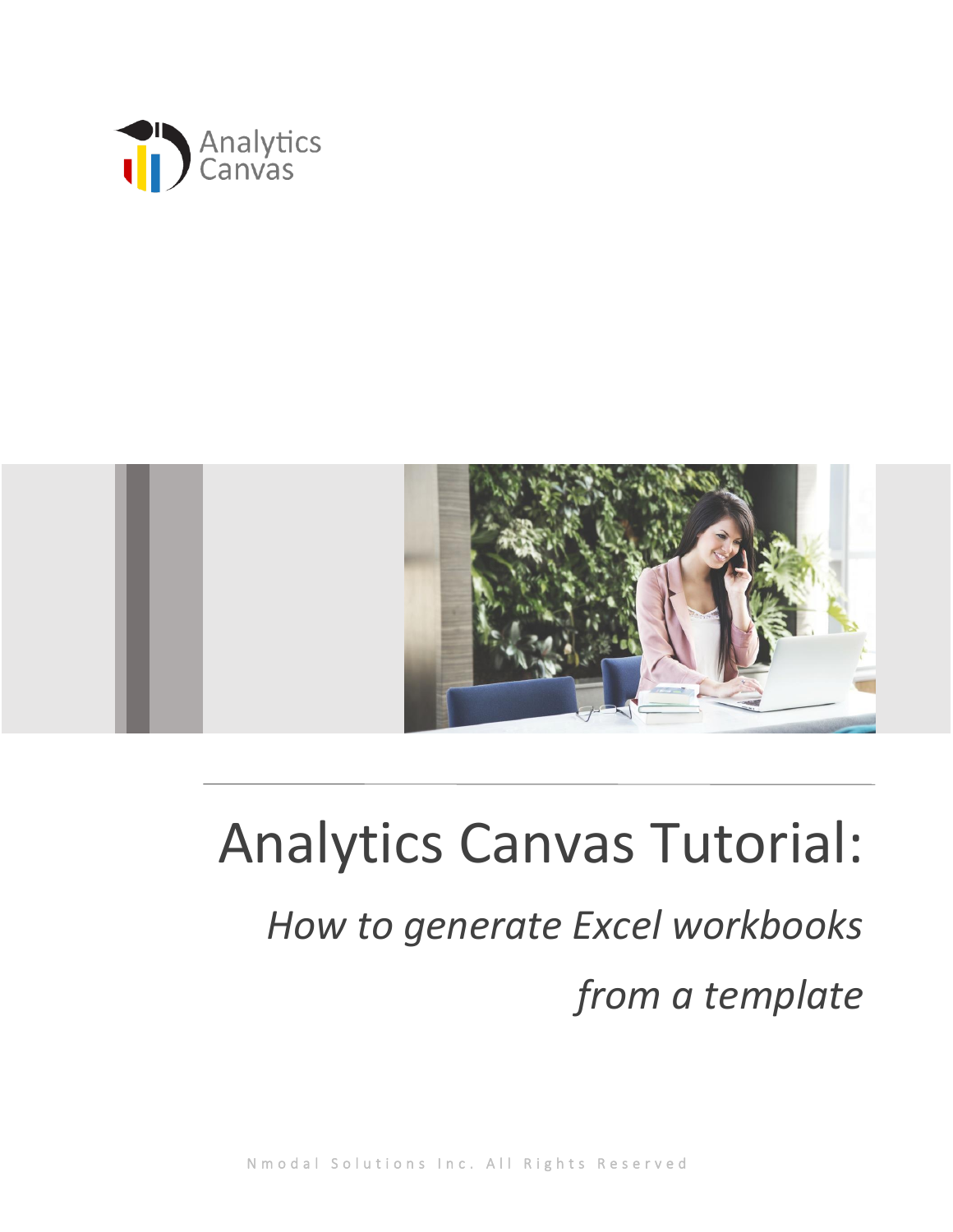



## Analytics Canvas Tutorial: *How to generate Excel workbooks from a template*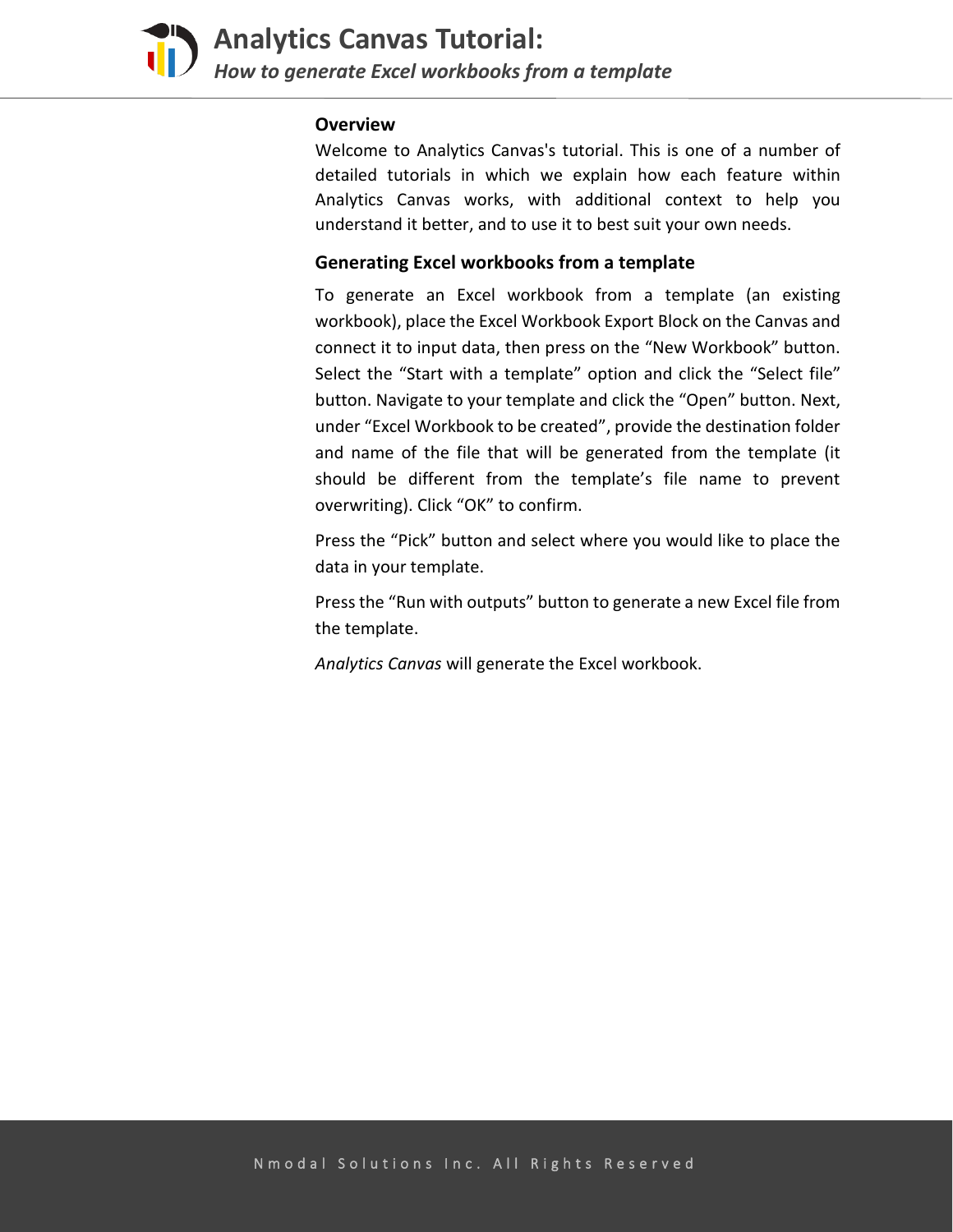

## **Overview**

Welcome to Analytics Canvas's tutorial. This is one of a number of detailed tutorials in which we explain how each feature within Analytics Canvas works, with additional context to help you understand it better, and to use it to best suit your own needs.

## **Generating Excel workbooks from a template**

To generate an Excel workbook from a template (an existing workbook), place the Excel Workbook Export Block on the Canvas and connect it to input data, then press on the "New Workbook" button. Select the "Start with a template" option and click the "Select file" button. Navigate to your template and click the "Open" button. Next, under "Excel Workbook to be created", provide the destination folder and name of the file that will be generated from the template (it should be different from the template's file name to prevent overwriting). Click "OK" to confirm.

Press the "Pick" button and select where you would like to place the data in your template.

Press the "Run with outputs" button to generate a new Excel file from the template.

*Analytics Canvas* will generate the Excel workbook.